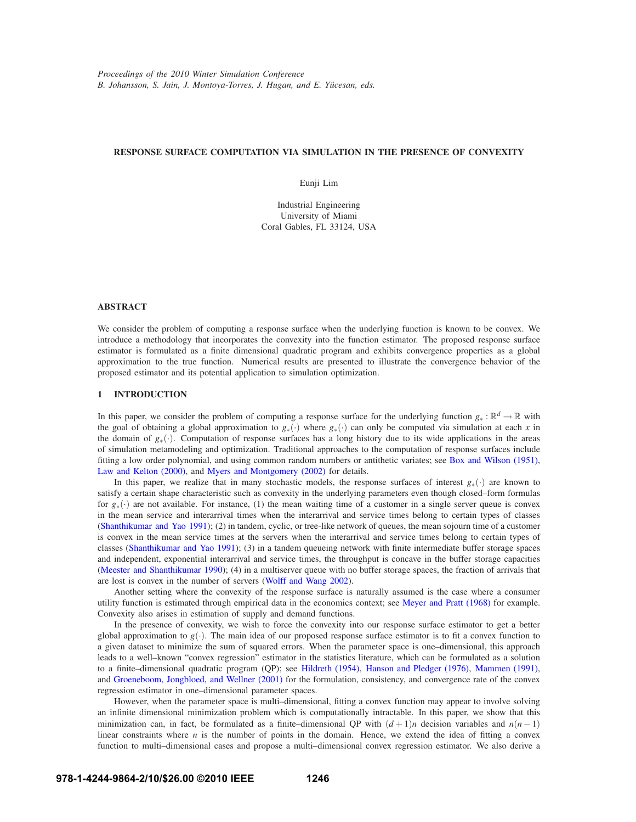# **RESPONSE SURFACE COMPUTATION VIA SIMULATION IN THE PRESENCE OF CONVEXITY**

Eunji Lim

Industrial Engineering University of Miami Coral Gables, FL 33124, USA

## **ABSTRACT**

We consider the problem of computing a response surface when the underlying function is known to be convex. We introduce a methodology that incorporates the convexity into the function estimator. The proposed response surface estimator is formulated as a finite dimensional quadratic program and exhibits convergence properties as a global approximation to the true function. Numerical results are presented to illustrate the convergence behavior of the proposed estimator and its potential application to simulation optimization.

## **1 INTRODUCTION**

In this paper, we consider the problem of computing a response surface for the underlying function  $g_* : \mathbb{R}^d \to \mathbb{R}$  with the goal of obtaining a global approximation to *g*∗(·) where *g*∗(·) can only be computed via simulation at each *x* in the domain of *g*∗(·). Computation of response surfaces has a long history due to its wide applications in the areas of simulation metamodeling and optimization. Traditional approaches to the computation of response surfaces include fitting a low order polynomial, and using common random numbers or antithetic variates; see Box and Wilson (1951), Law and Kelton (2000), and Myers and Montgomery (2002) for details.

In this paper, we realize that in many stochastic models, the response surfaces of interest *g*∗(·) are known to satisfy a certain shape characteristic such as convexity in the underlying parameters even though closed–form formulas for *g*∗(·) are not available. For instance, (1) the mean waiting time of a customer in a single server queue is convex in the mean service and interarrival times when the interarrival and service times belong to certain types of classes (Shanthikumar and Yao 1991); (2) in tandem, cyclic, or tree-like network of queues, the mean sojourn time of a customer is convex in the mean service times at the servers when the interarrival and service times belong to certain types of classes (Shanthikumar and Yao 1991); (3) in a tandem queueing network with finite intermediate buffer storage spaces and independent, exponential interarrival and service times, the throughput is concave in the buffer storage capacities (Meester and Shanthikumar 1990); (4) in a multiserver queue with no buffer storage spaces, the fraction of arrivals that are lost is convex in the number of servers (Wolff and Wang 2002).

Another setting where the convexity of the response surface is naturally assumed is the case where a consumer utility function is estimated through empirical data in the economics context; see Meyer and Pratt (1968) for example. Convexity also arises in estimation of supply and demand functions.

In the presence of convexity, we wish to force the convexity into our response surface estimator to get a better global approximation to  $g(.)$ . The main idea of our proposed response surface estimator is to fit a convex function to a given dataset to minimize the sum of squared errors. When the parameter space is one–dimensional, this approach leads to a well–known "convex regression" estimator in the statistics literature, which can be formulated as a solution to a finite–dimensional quadratic program (QP); see Hildreth (1954), Hanson and Pledger (1976), Mammen (1991), and Groeneboom, Jongbloed, and Wellner (2001) for the formulation, consistency, and convergence rate of the convex regression estimator in one–dimensional parameter spaces.

However, when the parameter space is multi–dimensional, fitting a convex function may appear to involve solving an infinite dimensional minimization problem which is computationally intractable. In this paper, we show that this minimization can, in fact, be formulated as a finite–dimensional QP with  $(d+1)n$  decision variables and  $n(n-1)$ linear constraints where  $n$  is the number of points in the domain. Hence, we extend the idea of fitting a convex function to multi–dimensional cases and propose a multi–dimensional convex regression estimator. We also derive a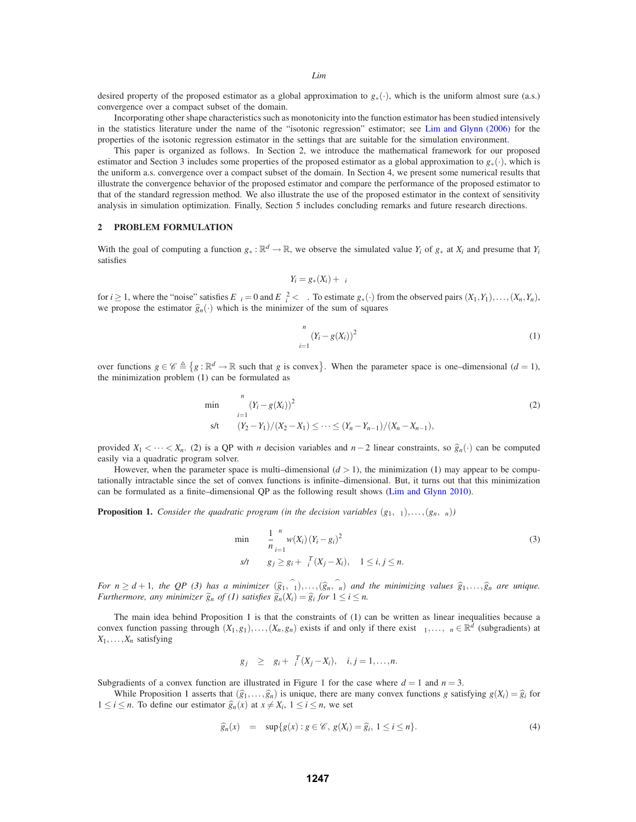desired property of the proposed estimator as a global approximation to  $g_*(\cdot)$ , which is the uniform almost sure (a.s.) convergence over a compact subset of the domain.

Incorporating other shape characteristics such as monotonicity into the function estimator has been studied intensively in the statistics literature under the name of the "isotonic regression" estimator; see Lim and Glynn (2006) for the properties of the isotonic regression estimator in the settings that are suitable for the simulation environment.

This paper is organized as follows. In Section 2, we introduce the mathematical framework for our proposed estimator and Section 3 includes some properties of the proposed estimator as a global approximation to *g*∗(·), which is the uniform a.s. convergence over a compact subset of the domain. In Section 4, we present some numerical results that illustrate the convergence behavior of the proposed estimator and compare the performance of the proposed estimator to that of the standard regression method. We also illustrate the use of the proposed estimator in the context of sensitivity analysis in simulation optimization. Finally, Section 5 includes concluding remarks and future research directions.

## **2 PROBLEM FORMULATION**

With the goal of computing a function  $g_* : \mathbb{R}^d \to \mathbb{R}$ , we observe the simulated value  $Y_i$  of  $g_*$  at  $X_i$  and presume that  $Y_i$ satisfies

$$
Y_i = g_*(X_i) + \varepsilon_i
$$

for  $i \ge 1$ , where the "noise" satisfies  $E \varepsilon_i = 0$  and  $E \varepsilon_i^2 < \infty$ . To estimate  $g_*(\cdot)$  from the observed pairs  $(X_1, Y_1), \ldots, (X_n, Y_n)$ , we propose the estimator  $\hat{g}_n(\cdot)$  which is the minimizer of the sum of squares

$$
\sum_{i=1}^{n} (Y_i - g(X_i))^2
$$
 (1)

over functions  $g \in \mathscr{C} \triangleq \{g : \mathbb{R}^d \to \mathbb{R} \text{ such that } g \text{ is convex}\}\.$  When the parameter space is one-dimensional  $(d = 1)$ , the minimization problem (1) can be formulated as

$$
\min \sum_{i=1}^{n} (Y_i - g(X_i))^2
$$
\n
$$
\text{s/t} \qquad (Y_2 - Y_1)/(X_2 - X_1) \leq \dots \leq (Y_n - Y_{n-1})/(X_n - X_{n-1}),
$$
\n
$$
(2)
$$

provided  $X_1 \leq \cdots \leq X_n$ . (2) is a QP with *n* decision variables and *n*−2 linear constraints, so  $\hat{g}_n(\cdot)$  can be computed easily via a quadratic program solver.

However, when the parameter space is multi-dimensional  $(d > 1)$ , the minimization (1) may appear to be computationally intractable since the set of convex functions is infinite–dimensional. But, it turns out that this minimization can be formulated as a finite–dimensional QP as the following result shows (Lim and Glynn 2010).

**Proposition 1.** *Consider the quadratic program (in the decision variables*  $(g_1, \xi_1), \ldots, (g_n, \xi_n)$ )

$$
\min_{n} \frac{1}{n} \sum_{i=1}^{n} w(X_i) (Y_i - g_i)^2
$$
\n
$$
s/t \quad g_j \ge g_i + \xi_i^T (X_j - X_i), \quad 1 \le i, j \le n.
$$
\n(3)

*For*  $n \geq d+1$ , the QP (3) has a minimizer  $(\hat{g}_1, \hat{\xi}_1), \ldots, (\hat{g}_n, \hat{\xi}_n)$  and the minimizing values  $\hat{g}_1, \ldots, \hat{g}_n$  are unique. *Furthermore, any minimizer*  $\widetilde{g}_n$  *of* (1) satisfies  $\widetilde{g}_n(X_i) = \widehat{g}_i$  for  $1 \le i \le n$ .

The main idea behind Proposition 1 is that the constraints of (1) can be written as linear inequalities because a convex function passing through  $(X_1, g_1), \ldots, (X_n, g_n)$  exists if and only if there exist  $\xi_1, \ldots, \xi_n \in \mathbb{R}^d$  (subgradients) at  $X_1, \ldots, X_n$  satisfying

$$
g_j \geq g_i + \xi_i^T(X_j - X_i), \quad i, j = 1, \ldots, n.
$$

Subgradients of a convex function are illustrated in Figure 1 for the case where  $d = 1$  and  $n = 3$ .

While Proposition 1 asserts that  $(\hat{g}_1, \ldots, \hat{g}_n)$  is unique, there are many convex functions *g* satisfying  $g(X_i) = \hat{g}_i$  for 1 ≤ *i* ≤ *n*. To define our estimator  $\hat{g}_n(x)$  at  $x \neq X_i$ , 1 ≤ *i* ≤ *n*, we set

$$
\widehat{g}_n(x) = \sup\{g(x) : g \in \mathscr{C}, g(X_i) = \widehat{g}_i, 1 \le i \le n\}.
$$
\n(4)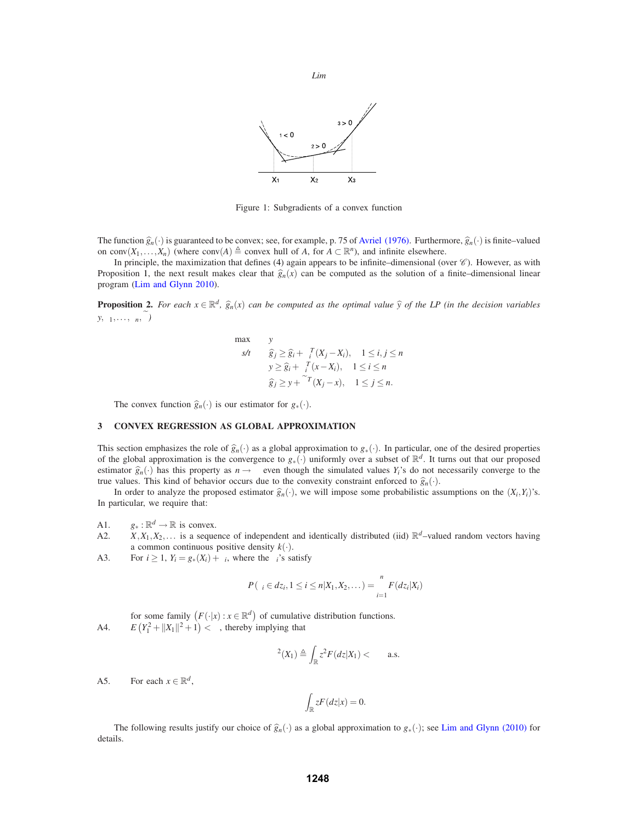

Figure 1: Subgradients of a convex function

The function  $\hat{g}_n(\cdot)$  is guaranteed to be convex; see, for example, p. 75 of Avriel (1976). Furthermore,  $\hat{g}_n(\cdot)$  is finite–valued on conv $(X_1,...,X_n)$  (where conv $(A) \triangleq$  convex hull of *A*, for  $A \subset \mathbb{R}^n$ ), and infinite elsewhere.

In principle, the maximization that defines (4) again appears to be infinite–dimensional (over  $\mathscr C$ ). However, as with Proposition 1, the next result makes clear that  $\hat{g}_n(x)$  can be computed as the solution of a finite–dimensional linear program (Lim and Glynn 2010).

**Proposition 2.** For each  $x \in \mathbb{R}^d$ ,  $\hat{g}_n(x)$  can be computed as the optimal value  $\hat{y}$  of the LP (in the decision variables  $y, \xi_1, \ldots, \xi_n, \widetilde{\xi}$ 

$$
\max \quad y
$$
\n
$$
s/t \quad \widehat{g}_j \ge \widehat{g}_i + \xi_i^T (X_j - X_i), \quad 1 \le i, j \le n
$$
\n
$$
y \ge \widehat{g}_i + \xi_i^T (x - X_i), \quad 1 \le i \le n
$$
\n
$$
\widehat{g}_j \ge y + \widetilde{\xi}^T (X_j - x), \quad 1 \le j \le n.
$$

The convex function  $\hat{g}_n(\cdot)$  is our estimator for  $g_*(\cdot)$ .

## **3 CONVEX REGRESSION AS GLOBAL APPROXIMATION**

This section emphasizes the role of  $\hat{g}_n(\cdot)$  as a global approximation to  $g_*(\cdot)$ . In particular, one of the desired properties of the global approximation is the convergence to  $g_*(\cdot)$  uniformly over a subset of  $\mathbb{R}^d$ . It turns out that our proposed estimator  $\hat{g}_n(\cdot)$  has this property as  $n \to \infty$  even though the simulated values  $Y_i$ 's do not necessarily converge to the true values. This kind of behavior occurs due to the convexity constraint enforced to  $\hat{g}_n(\cdot)$ .

In order to analyze the proposed estimator  $\hat{g}_n(\cdot)$ , we will impose some probabilistic assumptions on the  $(X_i, Y_i)$ 's. In particular, we require that:

A1.  $g_* : \mathbb{R}^d \to \mathbb{R}$  is convex.<br>A2.  $X, X_1, X_2, \dots$  is a seque

- $X, X_1, X_2, \ldots$  is a sequence of independent and identically distributed (iid)  $\mathbb{R}^d$ –valued random vectors having a common continuous positive density  $k(.)$ .
- A3. For  $i \geq 1$ ,  $Y_i = g_*(X_i) + \varepsilon_i$ , where the  $\varepsilon_i$ 's satisfy

$$
P(\varepsilon_i \in dz_i, 1 \leq i \leq n | X_1, X_2, \dots) = \prod_{i=1}^n F(d z_i | X_i)
$$

for some family  $(F(\cdot|x): x \in \mathbb{R}^d)$  of cumulative distribution functions.

A4. *E*  $(Y_1^2 + ||X_1||^2 + 1) < \infty$ , thereby implying that

$$
\sigma^2(X_1) \triangleq \int_{\mathbb{R}} z^2 F(dz|X_1) < \infty \quad \text{a.s.}
$$

A5. For each  $x \in \mathbb{R}^d$ ,

$$
\int_{\mathbb{R}} zF(dz|x) = 0.
$$

The following results justify our choice of  $\hat{g}_n(\cdot)$  as a global approximation to  $g_*(\cdot)$ ; see Lim and Glynn (2010) for details.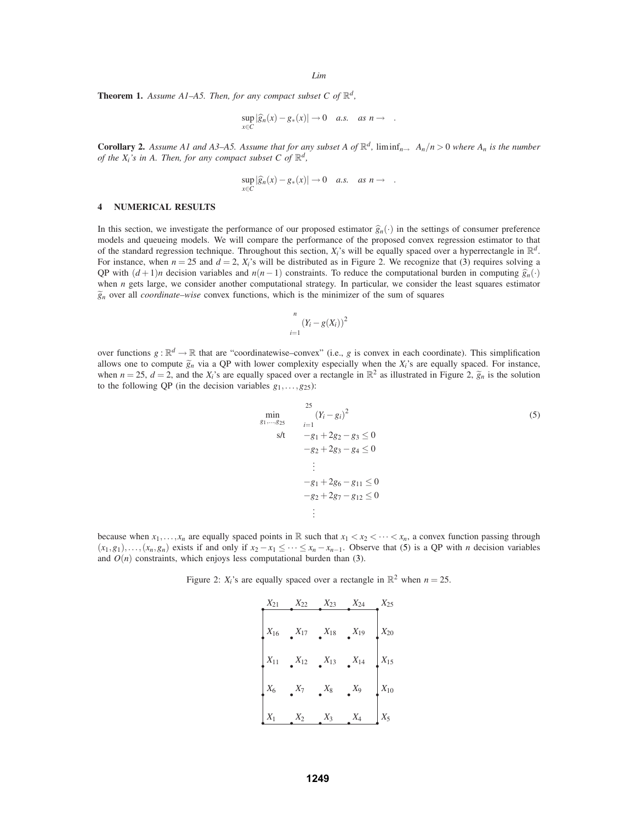**Theorem 1.** Assume A1–A5. Then, for any compact subset C of  $\mathbb{R}^d$ ,

$$
\sup_{x \in C} |\widehat{g}_n(x) - g_*(x)| \to 0 \quad a.s. \quad as \; n \to \infty.
$$

**Corollary 2.** Assume A1 and A3–A5. Assume that for any subset A of  $\mathbb{R}^d$ ,  $\liminf_{n\to\infty} A_n/n > 0$  where  $A_n$  is the number *of the X<sub>i</sub>'s in A. Then, for any compact subset C of*  $\mathbb{R}^d$ ,

$$
\sup_{x \in C} |\widehat{g}_n(x) - g_*(x)| \to 0 \quad a.s. \quad as \; n \to \infty.
$$

## **4 NUMERICAL RESULTS**

In this section, we investigate the performance of our proposed estimator  $\hat{g}_n(\cdot)$  in the settings of consumer preference models and queueing models. We will compare the performance of the proposed convex regression estimator to that of the standard regression technique. Throughout this section,  $X_i$ 's will be equally spaced over a hyperrectangle in  $\mathbb{R}^d$ . For instance, when  $n = 25$  and  $d = 2$ ,  $X_i$ 's will be distributed as in Figure 2. We recognize that (3) requires solving a QP with  $(d+1)n$  decision variables and  $n(n-1)$  constraints. To reduce the computational burden in computing  $\hat{g}_n(\cdot)$ when *n* gets large, we consider another computational strategy. In particular, we consider the least squares estimator  $\tilde{g}_n$  over all *coordinate–wise* convex functions, which is the minimizer of the sum of squares

$$
\sum_{i=1}^n (Y_i - g(X_i))^2
$$

over functions  $g : \mathbb{R}^d \to \mathbb{R}$  that are "coordinatewise–convex" (i.e., *g* is convex in each coordinate). This simplification allows one to compute  $\tilde{g}_n$  via a QP with lower complexity especially when the  $X_i$ 's are equally spaced. For instance, when  $n = 25$ ,  $d = 2$ , and the  $X_i$ 's are equally spaced over a rectangle in  $\mathbb{R}^2$  as illustrated in Figure 2,  $\tilde{g}_n$  is the solution to the following QP (in the decision variables  $g_1, \ldots, g_{25}$ ):

$$
\min_{g_1,\dots,g_{25}} \sum_{i=1}^{25} (Y_i - g_i)^2
$$
\n
$$
s/t \quad -g_1 + 2g_2 - g_3 \le 0
$$
\n
$$
-g_2 + 2g_3 - g_4 \le 0
$$
\n
$$
\vdots
$$
\n
$$
-g_1 + 2g_6 - g_{11} \le 0
$$
\n
$$
-g_2 + 2g_7 - g_{12} \le 0
$$
\n
$$
\vdots
$$

because when  $x_1, \ldots, x_n$  are equally spaced points in R such that  $x_1 < x_2 < \cdots < x_n$ , a convex function passing through  $(x_1, g_1), \ldots, (x_n, g_n)$  exists if and only if  $x_2 - x_1 \leq \cdots \leq x_n - x_{n-1}$ . Observe that (5) is a QP with *n* decision variables and  $O(n)$  constraints, which enjoys less computational burden than (3).

Figure 2:  $X_i$ 's are equally spaced over a rectangle in  $\mathbb{R}^2$  when  $n = 25$ .

| $X_{21}$ | $X_{22}$ | $X_{23}$ | $X_{24}$ | $X_{25}$ |
|----------|----------|----------|----------|----------|
| $X_{16}$ | $X_{17}$ | $X_{18}$ | $X_{19}$ | $X_{20}$ |
| $X_{11}$ | $X_{12}$ | $X_{13}$ | $X_{14}$ | $X_{15}$ |
| $X_6$    | $X_7$    | $X_8$    | $X_9$    | $X_{10}$ |
| $X_1$    | $X_2$    | $X_3$    | $X_4$    | $X_5$    |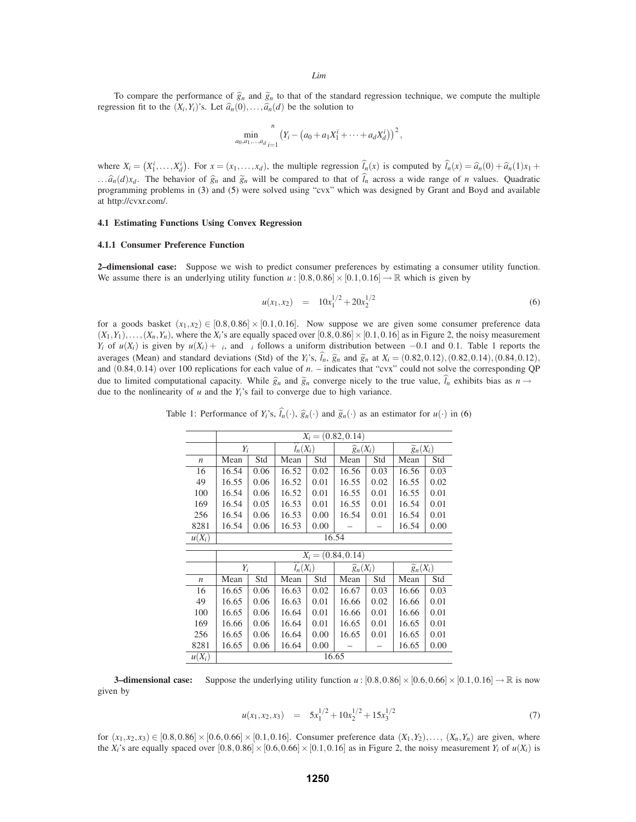To compare the performance of  $\hat{g}_n$  and  $\tilde{g}_n$  to that of the standard regression technique, we compute the multiple regression fit to the  $(X_i, Y_i)$ 's. Let  $\hat{a}_n(0), \ldots, \hat{a}_n(d)$  be the solution to

$$
\min_{a_0, a_1, \dots, a_d} \sum_{i=1}^n \left( Y_i - \left( a_0 + a_1 X_1^i + \dots + a_d X_d^i \right) \right)^2,
$$

where  $X_i = (X_1^i, \dots, X_d^i)$ . For  $x = (x_1, \dots, x_d)$ , the multiple regression  $\hat{l}_n(x)$  is computed by  $\hat{l}_n(x) = \hat{a}_n(0) + \hat{a}_n(1)x_1 +$ ... $\hat{a}_n(d)x_d$ . The behavior of  $\hat{g}_n$  and  $\tilde{g}_n$  will be compared to that of  $\hat{l}_n$  across a wide range of *n* values. Quadratic programming problems in (3) and (5) were solved using "cvx" which was designed by Grant and Boyd and available at http://cvxr.com/.

# **4.1 Estimating Functions Using Convex Regression**

## **4.1.1 Consumer Preference Function**

**2–dimensional case:** Suppose we wish to predict consumer preferences by estimating a consumer utility function. We assume there is an underlying utility function  $u : [0.8, 0.86] \times [0.1, 0.16] \rightarrow \mathbb{R}$  which is given by

$$
u(x_1, x_2) = 10x_1^{1/2} + 20x_2^{1/2}
$$
\n(6)

for a goods basket  $(x_1, x_2) \in [0.8, 0.86] \times [0.1, 0.16]$ . Now suppose we are given some consumer preference data  $(X_1,Y_1),\ldots,(X_n,Y_n)$ , where the  $X_i$ 's are equally spaced over  $[0.8,0.86]\times[0.1,0.16]$  as in Figure 2, the noisy measurement *Y<sub>i</sub>* of  $u(X_i)$  is given by  $u(X_i) + \varepsilon_i$ , and  $\varepsilon_i$  follows a uniform distribution between −0.1 and 0.1. Table 1 reports the averages (Mean) and standard deviations (Std) of the  $Y_i$ 's,  $\hat{l}_n$ ,  $\hat{g}_n$  and  $\tilde{g}_n$  at  $X_i = (0.82, 0.12), (0.82, 0.14), (0.84, 0.12),$ and (0.84,0.14) over 100 replications for each value of *n*. – indicates that "cvx" could not solve the corresponding QP due to limited computational capacity. While  $\hat{g}_n$  and  $\tilde{g}_n$  converge nicely to the true value,  $l_n$  exhibits bias as  $n \to \infty$ due to the nonlinearity of  $u$  and the  $Y_i$ 's fail to converge due to high variance.

Table 1: Performance of  $Y_i$ 's,  $\hat{l}_n(\cdot)$ ,  $\hat{g}_n(\cdot)$  and  $\tilde{g}_n(\cdot)$  as an estimator for  $u(\cdot)$  in (6)

|                  | $X_i = (0.82, 0.14)$ |      |                      |      |                      |      |                        |      |
|------------------|----------------------|------|----------------------|------|----------------------|------|------------------------|------|
|                  | $Y_i$                |      | $\widehat{l}_n(X_i)$ |      | $\widehat{g}_n(X_i)$ |      | $\widetilde{g}_n(X_i)$ |      |
| $\boldsymbol{n}$ | Mean                 | Std  | Mean                 | Std  | Mean                 | Std  | Mean                   | Std  |
| 16               | 16.54                | 0.06 | 16.52                | 0.02 | 16.56                | 0.03 | 16.56                  | 0.03 |
| 49               | 16.55                | 0.06 | 16.52                | 0.01 | 16.55                | 0.02 | 16.55                  | 0.02 |
| 100              | 16.54                | 0.06 | 16.52                | 0.01 | 16.55                | 0.01 | 16.55                  | 0.01 |
| 169              | 16.54                | 0.05 | 16.53                | 0.01 | 16.55                | 0.01 | 16.54                  | 0.01 |
| 256              | 16.54                | 0.06 | 16.53                | 0.00 | 16.54                | 0.01 | 16.54                  | 0.01 |
| 8281             | 16.54                | 0.06 | 16.53                | 0.00 |                      |      | 16.54                  | 0.00 |
| $u(X_i)$         |                      |      |                      |      | 16.54                |      |                        |      |
|                  |                      |      |                      |      | $X_i = (0.84, 0.14)$ |      |                        |      |
|                  | $Y_i$                |      | $\widehat{l}_n(X_i)$ |      |                      |      |                        |      |
|                  |                      |      |                      |      | $\widehat{g}_n(X_i)$ |      | $\widetilde{g}_n(X_i)$ |      |
| $\boldsymbol{n}$ | Mean                 | Std  | Mean                 | Std  | Mean                 | Std  | Mean                   | Std  |
| 16               | 16.65                | 0.06 | 16.63                | 0.02 | 16.67                | 0.03 | 16.66                  | 0.03 |
| 49               | 16.65                | 0.06 | 16.63                | 0.01 | 16.66                | 0.02 | 16.66                  | 0.01 |
| 100              | 16.65                | 0.06 | 16.64                | 0.01 | 16.66                | 0.01 | 16.66                  | 0.01 |
| 169              | 16.66                | 0.06 | 16.64                | 0.01 | 16.65                | 0.01 | 16.65                  | 0.01 |
| 256              | 16.65                | 0.06 | 16.64                | 0.00 | 16.65                | 0.01 | 16.65                  | 0.01 |
| 8281             | 16.65                |      | 16.64                | 0.00 |                      |      | 16.65                  | 0.00 |
|                  |                      | 0.06 |                      |      |                      |      |                        |      |

**3–dimensional case:** Suppose the underlying utility function  $u : [0.8, 0.86] \times [0.6, 0.66] \times [0.1, 0.16] \rightarrow \mathbb{R}$  is now given by

$$
u(x_1, x_2, x_3) = 5x_1^{1/2} + 10x_2^{1/2} + 15x_3^{1/2}
$$
 (7)

for  $(x_1, x_2, x_3) \in [0.8, 0.86] \times [0.6, 0.66] \times [0.1, 0.16]$ . Consumer preference data  $(X_1, Y_2), \ldots, (X_n, Y_n)$  are given, where the *X<sub>i</sub>*'s are equally spaced over  $[0.8, 0.86] \times [0.6, 0.66] \times [0.1, 0.16]$  as in Figure 2, the noisy measurement *Y<sub>i</sub>* of  $u(X_i)$  is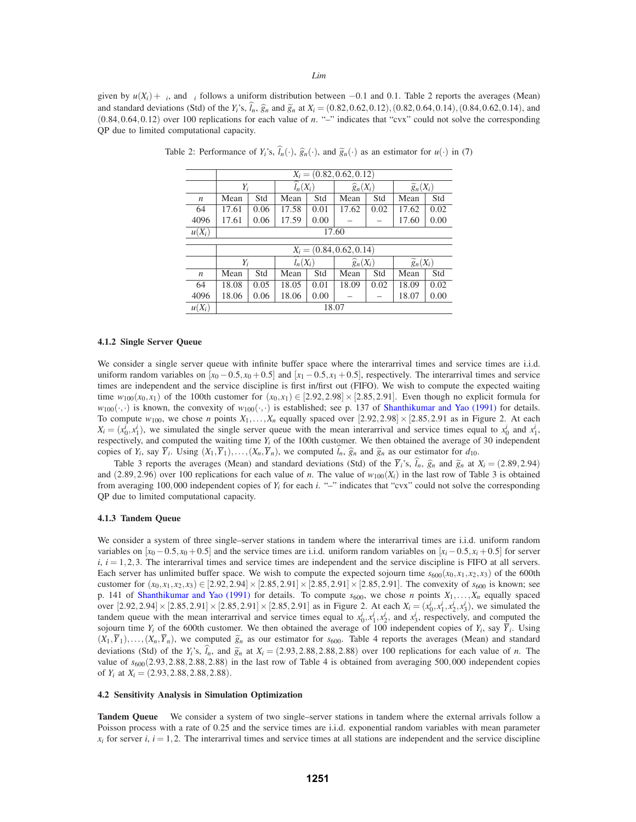given by  $u(X_i) + \varepsilon_i$ , and  $\varepsilon_i$  follows a uniform distribution between  $-0.1$  and 0.1. Table 2 reports the averages (Mean) and standard deviations (Std) of the  $Y_i$ 's,  $\hat{I}_n$ ,  $\hat{g}_n$  and  $\tilde{g}_n$  at  $X_i = (0.82, 0.62, 0.12), (0.82, 0.64, 0.14), (0.84, 0.62, 0.14),$  and (0.84,0.64,0.12) over 100 replications for each value of *n*. "–" indicates that "cvx" could not solve the corresponding QP due to limited computational capacity.

|                     | $X_i = (0.82, 0.62, 0.12)$                                                      |      |                      |      |                      |      |                        |      |  |
|---------------------|---------------------------------------------------------------------------------|------|----------------------|------|----------------------|------|------------------------|------|--|
|                     | $Y_i$                                                                           |      | $\widehat{l_n}(X_i)$ |      | $\widehat{g}_n(X_i)$ |      | $\widetilde{g}_n(X_i)$ |      |  |
| $\boldsymbol{n}$    | Mean                                                                            | Std  | Mean                 | Std  | Mean                 | Std  | Mean                   | Std  |  |
| 64                  | 17.61                                                                           | 0.06 | 17.58                | 0.01 | 17.62                | 0.02 | 17.62                  | 0.02 |  |
| 4096                | 17.61                                                                           | 0.06 | 17.59                | 0.00 |                      |      | 17.60                  | 0.00 |  |
| $\overline{u(X_i)}$ | 17.60                                                                           |      |                      |      |                      |      |                        |      |  |
|                     |                                                                                 |      |                      |      |                      |      |                        |      |  |
|                     | $X_i = (0.84, 0.62, 0.14)$                                                      |      |                      |      |                      |      |                        |      |  |
|                     | $\widehat{l}_n(X_i)$<br>$\widetilde{g}_n(X_i)$<br>$\widehat{g}_n(X_i)$<br>$Y_i$ |      |                      |      |                      |      |                        |      |  |
| $\boldsymbol{n}$    | Mean                                                                            | Std  | Mean                 | Std  | Mean                 | Std  | Mean                   | Std  |  |
| 64                  |                                                                                 |      |                      |      |                      |      |                        |      |  |
|                     | 18.08                                                                           | 0.05 | 18.05                | 0.01 | 18.09                | 0.02 | 18.09                  | 0.02 |  |
| 4096                | 18.06                                                                           | 0.06 | 18.06                | 0.00 |                      |      | 18.07                  | 0.00 |  |

Table 2: Performance of  $Y_i$ 's,  $\hat{l}_n(\cdot)$ ,  $\hat{g}_n(\cdot)$ , and  $\tilde{g}_n(\cdot)$  as an estimator for  $u(\cdot)$  in (7)

### **4.1.2 Single Server Queue**

We consider a single server queue with infinite buffer space where the interarrival times and service times are i.i.d. uniform random variables on  $[x_0 - 0.5, x_0 + 0.5]$  and  $[x_1 - 0.5, x_1 + 0.5]$ , respectively. The interarrival times and service times are independent and the service discipline is first in/first out (FIFO). We wish to compute the expected waiting time  $w_{100}(x_0, x_1)$  of the 100th customer for  $(x_0, x_1) \in [2.92, 2.98] \times [2.85, 2.91]$ . Even though no explicit formula for  $w_{100}(\cdot,\cdot)$  is known, the convexity of  $w_{100}(\cdot,\cdot)$  is established; see p. 137 of Shanthikumar and Yao (1991) for details. To compute  $w_{100}$ , we chose *n* points  $X_1, \ldots, X_n$  equally spaced over  $[2.92, 2.98] \times [2.85, 2.91$  as in Figure 2. At each  $X_i = (x_0^i, x_1^i)$ , we simulated the single server queue with the mean interarrival and service times equal to  $x_0^i$  and  $x_1^i$ , respectively, and computed the waiting time  $Y_i$  of the 100th customer. We then obtained the average of 30 independent copies of  $Y_i$ , say  $\overline{Y}_i$ . Using  $(X_1, \overline{Y}_1), \ldots, (X_n, \overline{Y}_n)$ , we computed  $\hat{l}_n$ ,  $\hat{g}_n$  and  $\tilde{g}_n$  as our estimator for  $d_{10}$ .

Table 3 reports the averages (Mean) and standard deviations (Std) of the  $\overline{Y}_i$ 's,  $\hat{l}_n$ ,  $\hat{g}_n$  and  $\hat{g}_n$  at  $X_i = (2.89, 2.94)$ and (2.89,2.96) over 100 replications for each value of *n*. The value of  $w_{100}(X_i)$  in the last row of Table 3 is obtained from averaging 100,000 independent copies of *Yi* for each *i*. "–" indicates that "cvx" could not solve the corresponding QP due to limited computational capacity.

# **4.1.3 Tandem Queue**

We consider a system of three single–server stations in tandem where the interarrival times are i.i.d. uniform random variables on  $[x_0 - 0.5, x_0 + 0.5]$  and the service times are i.i.d. uniform random variables on  $[x_i - 0.5, x_i + 0.5]$  for server  $i, i = 1, 2, 3$ . The interarrival times and service times are independent and the service discipline is FIFO at all servers. Each server has unlimited buffer space. We wish to compute the expected sojourn time  $s_{600}(x_0, x_1, x_2, x_3)$  of the 600th customer for  $(x_0, x_1, x_2, x_3) \in [2.92, 2.94] \times [2.85, 2.91] \times [2.85, 2.91] \times [2.85, 2.91]$ . The convexity of  $s_{600}$  is known; see p. 141 of Shanthikumar and Yao (1991) for details. To compute  $s_{600}$ , we chose *n* points  $X_1, \ldots, X_n$  equally spaced over  $[2.92, 2.94] \times [2.85, 2.91] \times [2.85, 2.91] \times [2.85, 2.91]$  as in Figure 2. At each  $X_i = (x_0^i, x_1^i, x_2^i, x_3^i)$ , we simulated the tandem queue with the mean interarrival and service times equal to  $x_0^i$ ,  $x_1^i$ ,  $x_2^i$ , and  $x_3^i$ , respectively, and computed the sojourn time  $Y_i$  of the 600th customer. We then obtained the average of 100 independent copies of  $Y_i$ , say  $\overline{Y}_i$ . Using  $(X_1,\overline{Y}_1),\ldots,(X_n,\overline{Y}_n)$ , we computed  $\tilde{g}_n$  as our estimator for  $s_{600}$ . Table 4 reports the averages (Mean) and standard deviations (Std) of the  $Y_i$ 's,  $\hat{l}_n$ , and  $\hat{g}_n$  at  $X_i = (2.93, 2.88, 2.88, 2.88)$  over 100 replications for each value of *n*. The value of  $s_{600}(2.93, 2.88, 2.88, 2.88)$  in the last row of Table 4 is obtained from averaging 500,000 independent copies of  $Y_i$  at  $X_i = (2.93, 2.88, 2.88, 2.88)$ .

#### **4.2 Sensitivity Analysis in Simulation Optimization**

**Tandem Queue** We consider a system of two single–server stations in tandem where the external arrivals follow a Poisson process with a rate of 0.25 and the service times are i.i.d. exponential random variables with mean parameter  $x_i$  for server *i*,  $i = 1, 2$ . The interarrival times and service times at all stations are independent and the service discipline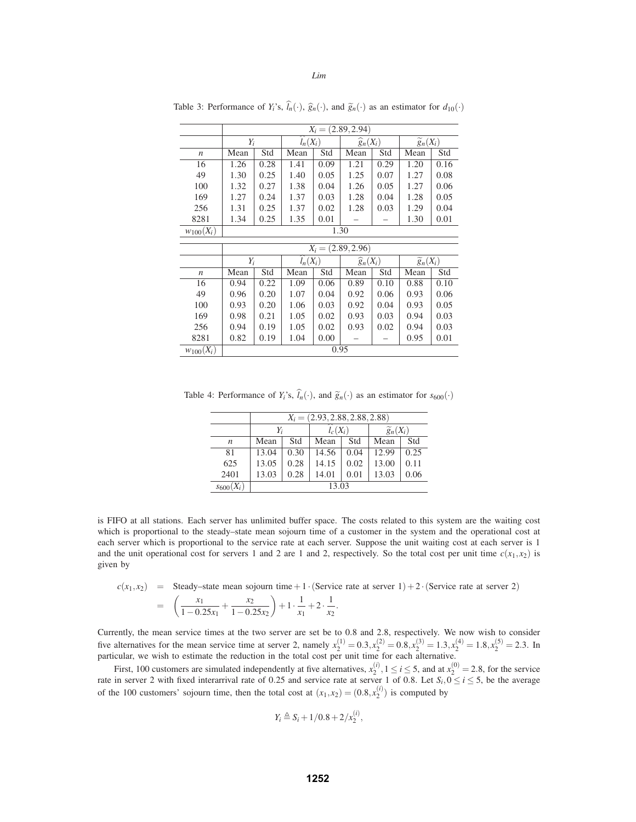|                  | $X_i = (2.89, 2.94)$ |      |                      |      |                      |      |                        |      |
|------------------|----------------------|------|----------------------|------|----------------------|------|------------------------|------|
|                  | $Y_i$                |      | $\widehat{l}_n(X_i)$ |      | $\widehat{g}_n(X_i)$ |      | $\widetilde{g}_n(X_i)$ |      |
| $\boldsymbol{n}$ | Mean                 | Std  | Mean                 | Std  | Mean                 | Std  | Mean                   | Std  |
| 16               | 1.26                 | 0.28 | 1.41                 | 0.09 | 1.21                 | 0.29 | 1.20                   | 0.16 |
| 49               | 1.30                 | 0.25 | 1.40                 | 0.05 | 1.25                 | 0.07 | 1.27                   | 0.08 |
| 100              | 1.32                 | 0.27 | 1.38                 | 0.04 | 1.26                 | 0.05 | 1.27                   | 0.06 |
| 169              | 1.27                 | 0.24 | 1.37                 | 0.03 | 1.28                 | 0.04 | 1.28                   | 0.05 |
| 256              | 1.31                 | 0.25 | 1.37                 | 0.02 | 1.28                 | 0.03 | 1.29                   | 0.04 |
| 8281             | 1.34                 | 0.25 | 1.35                 | 0.01 |                      |      | 1.30                   | 0.01 |
| $w_{100}(X_i)$   |                      |      |                      |      | 1.30                 |      |                        |      |
|                  |                      |      |                      |      | $X_i = (2.89, 2.96)$ |      |                        |      |
|                  | $Y_i$                |      | $\widehat{l_n}(X_i)$ |      | $\widehat{g}_n(X_i)$ |      | $\widetilde{g}_n(X_i)$ |      |
| $\boldsymbol{n}$ | Mean                 | Std  | Mean                 | Std  | Mean                 | Std  | Mean                   | Std  |
| 16               | 0.94                 | 0.22 | 1.09                 | 0.06 | 0.89                 | 0.10 | 0.88                   | 0.10 |
| 49               | 0.96                 | 0.20 | 1.07                 | 0.04 | 0.92                 | 0.06 | 0.93                   | 0.06 |
| 100              | 0.93                 | 0.20 | 1.06                 | 0.03 | 0.92                 | 0.04 | 0.93                   | 0.05 |
| 169              | 0.98                 | 0.21 | 1.05                 | 0.02 | 0.93                 | 0.03 | 0.94                   | 0.03 |
| 256              | 0.94                 | 0.19 | 1.05                 | 0.02 | 0.93                 | 0.02 | 0.94                   | 0.03 |
| 8281             | 0.82                 | 0.19 | 1.04                 | 0.00 |                      |      | 0.95                   | 0.01 |
| $w_{100}(X_i)$   | 0.95                 |      |                      |      |                      |      |                        |      |

Table 3: Performance of  $Y_i$ 's,  $\hat{l}_n(\cdot)$ ,  $\hat{g}_n(\cdot)$ , and  $\tilde{g}_n(\cdot)$  as an estimator for  $d_{10}(\cdot)$ 

Table 4: Performance of  $Y_i$ 's,  $\hat{l}_n(\cdot)$ , and  $\tilde{g}_n(\cdot)$  as an estimator for  $s_{600}(\cdot)$ 

|                  | $X_i = (2.93, 2.88, 2.88, 2.88)$ |      |                             |      |                        |      |  |
|------------------|----------------------------------|------|-----------------------------|------|------------------------|------|--|
|                  | $Y_i$                            |      | $\overline{\hat{l}_c(X_i)}$ |      | $\widetilde{g}_n(X_i)$ |      |  |
| $\boldsymbol{n}$ | Mean                             | Std  | Mean                        | Std  | Mean                   | Std  |  |
| 81               | 13.04                            | 0.30 | 14.56                       | 0.04 | 12.99                  | 0.25 |  |
| 625              | 13.05                            | 0.28 | 14.15                       | 0.02 | 13.00                  | 0.11 |  |
| 2401             | 13.03                            | 0.28 | 14.01                       | 0.01 | 13.03                  | 0.06 |  |
| $s_{600}(X_i)$   | 13.03                            |      |                             |      |                        |      |  |

is FIFO at all stations. Each server has unlimited buffer space. The costs related to this system are the waiting cost which is proportional to the steady–state mean sojourn time of a customer in the system and the operational cost at each server which is proportional to the service rate at each server. Suppose the unit waiting cost at each server is 1 and the unit operational cost for servers 1 and 2 are 1 and 2, respectively. So the total cost per unit time  $c(x_1, x_2)$  is given by

$$
c(x_1, x_2) = \text{Steady-state mean sojourn time} + 1 \cdot (\text{Service rate at server 1}) + 2 \cdot (\text{Service rate at server 2})
$$
  
= 
$$
\left(\frac{x_1}{1 - 0.25x_1} + \frac{x_2}{1 - 0.25x_2}\right) + 1 \cdot \frac{1}{x_1} + 2 \cdot \frac{1}{x_2}.
$$

Currently, the mean service times at the two server are set be to 0.8 and 2.8, respectively. We now wish to consider five alternatives for the mean service time at server 2, namely  $x_2^{(1)} = 0.3, x_2^{(2)} = 0.8, x_2^{(3)} = 1.3, x_2^{(4)} = 1.8, x_2^{(5)} = 2.3$ . In particular, we wish to estimate the reduction in the total cost per unit time for each alternative.

First, 100 customers are simulated independently at five alternatives,  $x_2^{(i)}$ ,  $1 \le i \le 5$ , and at  $x_2^{(0)} = 2.8$ , for the service rate in server 2 with fixed interarrival rate of 0.25 and service rate at server 1 of 0.8. Let  $S_i$ ,  $0 \le i \le 5$ , be the average of the 100 customers' sojourn time, then the total cost at  $(x_1, x_2) = (0.8, x_2^{(1)})$  is computed by

$$
Y_i \triangleq S_i + 1/0.8 + 2/x_2^{(i)},
$$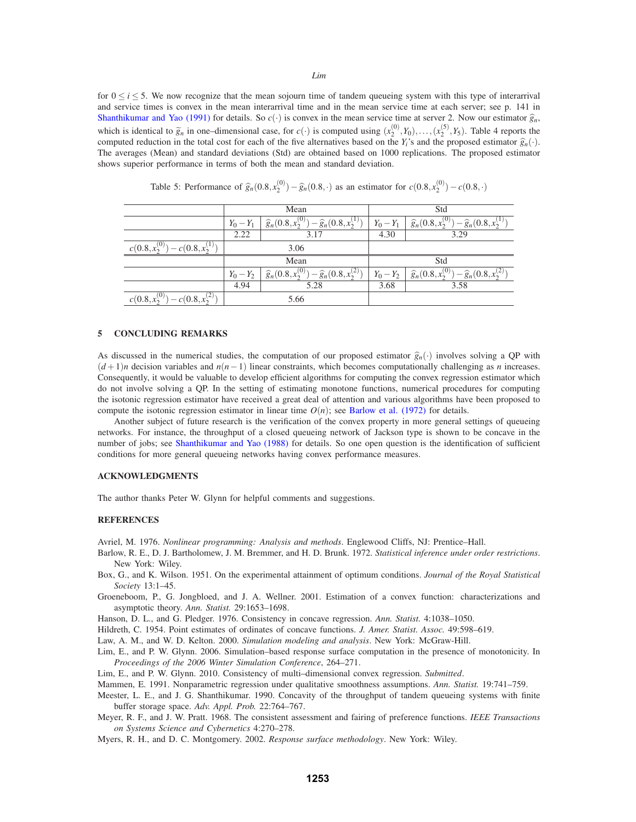for  $0 \le i \le 5$ . We now recognize that the mean sojourn time of tandem queueing system with this type of interarrival and service times is convex in the mean interarrival time and in the mean service time at each server; see p. 141 in Shanthikumar and Yao (1991) for details. So  $c(\cdot)$  is convex in the mean service time at server 2. Now our estimator  $\hat{g}_n$ , which is identical to  $\tilde{g}_n$  in one–dimensional case, for  $c(\cdot)$  is computed using  $(x_2^{(0)}, Y_0), \ldots, (x_2^{(5)}, Y_5)$ . Table 4 reports the computed reduction in the total cost for each of the five alternatives based on the *Y<sub>i</sub>*'s and the proposed estimator  $\hat{g}_n(\cdot)$ . The averages (Mean) and standard deviations (Std) are obtained based on 1000 replications. The proposed estimator shows superior performance in terms of both the mean and standard deviation.

|                                                |                                                                                         | Mean | Std         |                                                                 |  |
|------------------------------------------------|-----------------------------------------------------------------------------------------|------|-------------|-----------------------------------------------------------------|--|
|                                                | $\widehat{g}_n(0.8, x_2^{(0)}) - \widehat{g}_n(0.8, x_2^{(1)})$<br>$Y_0 - Y_1$          |      | $Y_0 - Y_1$ | $\widehat{g}_n(0.8, x_2^{(0)}) - \widehat{g}_n(0.8, x_2^{(1)})$ |  |
|                                                | 2.22<br>3.17                                                                            |      | 4.30        | 3.29                                                            |  |
| $c(0.8, x_2^{(0)})$<br>$y - c(0.8, x_2^{(1)})$ | 3.06                                                                                    |      |             |                                                                 |  |
|                                                | Mean                                                                                    |      | Std         |                                                                 |  |
|                                                | $\lambda - \widehat{g}_n(0.8, x_2^{(2)})$<br>$\hat{g}_n(0.8, x_2^{(0)})$<br>$Y_0 - Y_2$ |      | $Y_0 - Y_2$ | $\hat{g}_n(0.8, x_2^{(0)})$<br>$-\widehat{g}_n(0.8, x_2^{(2)})$ |  |
|                                                | 4.94<br>5.28                                                                            |      | 3.68        | 3.58                                                            |  |
| $c(0.8, x_2^{(0)})$<br>$c(0.8, x_2^{(2)})$     | 5.66                                                                                    |      |             |                                                                 |  |

Table 5: Performance of  $\hat{g}_n(0.8, x_2^{(0)}) - \hat{g}_n(0.8, \cdot)$  as an estimator for  $c(0.8, x_2^{(0)}) - c(0.8, \cdot)$ 

### **5 CONCLUDING REMARKS**

As discussed in the numerical studies, the computation of our proposed estimator  $\hat{g}_n(\cdot)$  involves solving a QP with  $(d+1)n$  decision variables and  $n(n-1)$  linear constraints, which becomes computationally challenging as *n* increases. Consequently, it would be valuable to develop efficient algorithms for computing the convex regression estimator which do not involve solving a QP. In the setting of estimating monotone functions, numerical procedures for computing the isotonic regression estimator have received a great deal of attention and various algorithms have been proposed to compute the isotonic regression estimator in linear time  $O(n)$ ; see Barlow et al. (1972) for details.

Another subject of future research is the verification of the convex property in more general settings of queueing networks. For instance, the throughput of a closed queueing network of Jackson type is shown to be concave in the number of jobs; see Shanthikumar and Yao (1988) for details. So one open question is the identification of sufficient conditions for more general queueing networks having convex performance measures.

#### **ACKNOWLEDGMENTS**

The author thanks Peter W. Glynn for helpful comments and suggestions.

#### **REFERENCES**

Avriel, M. 1976. *Nonlinear programming: Analysis and methods*. Englewood Cliffs, NJ: Prentice–Hall.

- Barlow, R. E., D. J. Bartholomew, J. M. Bremmer, and H. D. Brunk. 1972. *Statistical inference under order restrictions*. New York: Wiley.
- Box, G., and K. Wilson. 1951. On the experimental attainment of optimum conditions. *Journal of the Royal Statistical Society* 13:1–45.
- Groeneboom, P., G. Jongbloed, and J. A. Wellner. 2001. Estimation of a convex function: characterizations and asymptotic theory. *Ann. Statist.* 29:1653–1698.

Hanson, D. L., and G. Pledger. 1976. Consistency in concave regression. *Ann. Statist.* 4:1038–1050.

Hildreth, C. 1954. Point estimates of ordinates of concave functions. *J. Amer. Statist. Assoc.* 49:598–619.

Law, A. M., and W. D. Kelton. 2000. *Simulation modeling and analysis*. New York: McGraw-Hill.

Lim, E., and P. W. Glynn. 2006. Simulation–based response surface computation in the presence of monotonicity. In *Proceedings of the 2006 Winter Simulation Conference*, 264–271.

Lim, E., and P. W. Glynn. 2010. Consistency of multi–dimensional convex regression. *Submitted*.

Mammen, E. 1991. Nonparametric regression under qualitative smoothness assumptions. *Ann. Statist.* 19:741–759.

- Meester, L. E., and J. G. Shanthikumar. 1990. Concavity of the throughput of tandem queueing systems with finite buffer storage space. *Adv. Appl. Prob.* 22:764–767.
- Meyer, R. F., and J. W. Pratt. 1968. The consistent assessment and fairing of preference functions. *IEEE Transactions on Systems Science and Cybernetics* 4:270–278.
- Myers, R. H., and D. C. Montgomery. 2002. *Response surface methodology*. New York: Wiley.